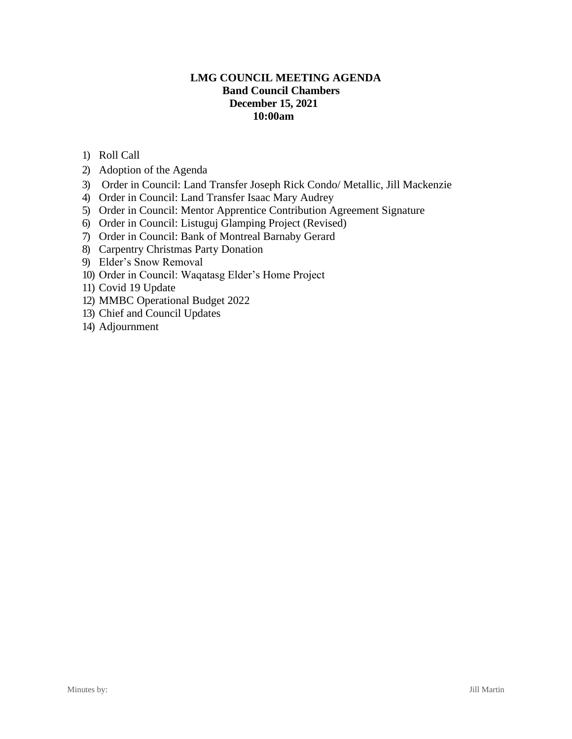# **LMG COUNCIL MEETING AGENDA Band Council Chambers December 15, 2021 10:00am**

- 1) Roll Call
- 2) Adoption of the Agenda
- 3) Order in Council: Land Transfer Joseph Rick Condo/ Metallic, Jill Mackenzie
- 4) Order in Council: Land Transfer Isaac Mary Audrey
- 5) Order in Council: Mentor Apprentice Contribution Agreement Signature
- 6) Order in Council: Listuguj Glamping Project (Revised)
- 7) Order in Council: Bank of Montreal Barnaby Gerard
- 8) Carpentry Christmas Party Donation
- 9) Elder's Snow Removal
- 10) Order in Council: Waqatasg Elder's Home Project
- 11) Covid 19 Update
- 12) MMBC Operational Budget 2022
- 13) Chief and Council Updates
- 14) Adjournment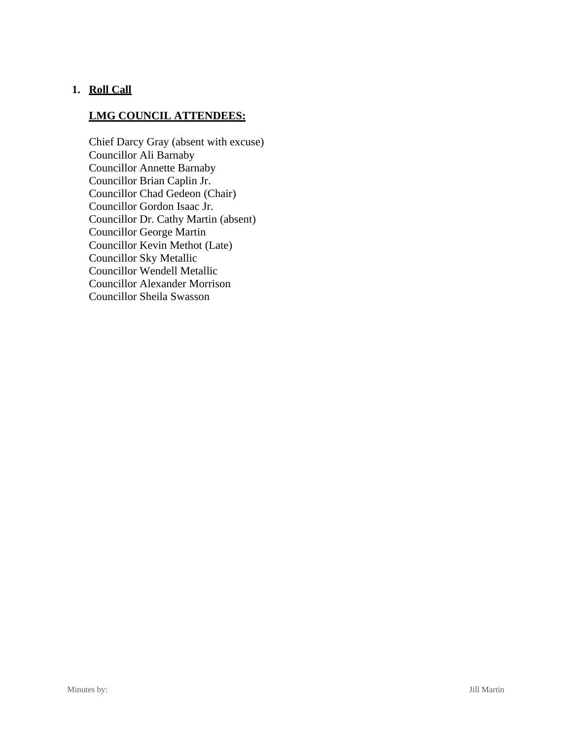# **1. Roll Call**

# **LMG COUNCIL ATTENDEES:**

Chief Darcy Gray (absent with excuse) Councillor Ali Barnaby Councillor Annette Barnaby Councillor Brian Caplin Jr. Councillor Chad Gedeon (Chair) Councillor Gordon Isaac Jr. Councillor Dr. Cathy Martin (absent) Councillor George Martin Councillor Kevin Methot (Late) Councillor Sky Metallic Councillor Wendell Metallic Councillor Alexander Morrison Councillor Sheila Swasson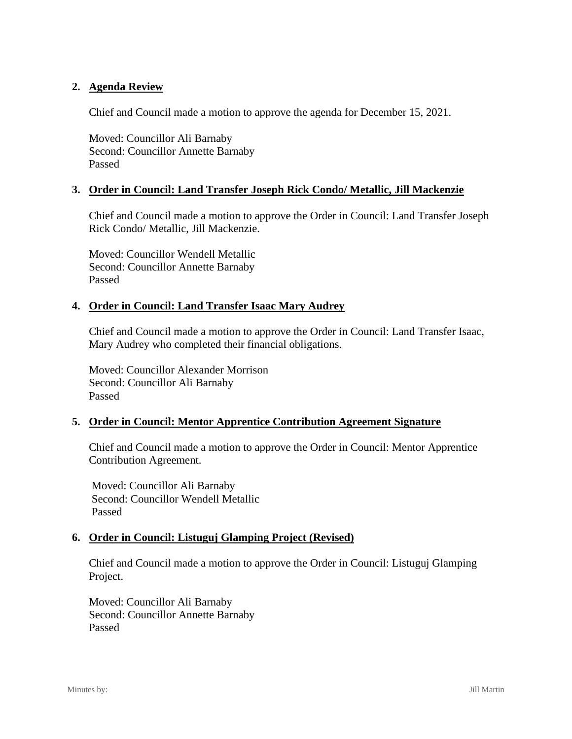## **2. Agenda Review**

Chief and Council made a motion to approve the agenda for December 15, 2021.

Moved: Councillor Ali Barnaby Second: Councillor Annette Barnaby Passed

## **3. Order in Council: Land Transfer Joseph Rick Condo/ Metallic, Jill Mackenzie**

Chief and Council made a motion to approve the Order in Council: Land Transfer Joseph Rick Condo/ Metallic, Jill Mackenzie.

Moved: Councillor Wendell Metallic Second: Councillor Annette Barnaby Passed

## **4. Order in Council: Land Transfer Isaac Mary Audrey**

Chief and Council made a motion to approve the Order in Council: Land Transfer Isaac, Mary Audrey who completed their financial obligations.

Moved: Councillor Alexander Morrison Second: Councillor Ali Barnaby Passed

## **5. Order in Council: Mentor Apprentice Contribution Agreement Signature**

Chief and Council made a motion to approve the Order in Council: Mentor Apprentice Contribution Agreement.

Moved: Councillor Ali Barnaby Second: Councillor Wendell Metallic Passed

## **6. Order in Council: Listuguj Glamping Project (Revised)**

Chief and Council made a motion to approve the Order in Council: Listuguj Glamping Project.

Moved: Councillor Ali Barnaby Second: Councillor Annette Barnaby Passed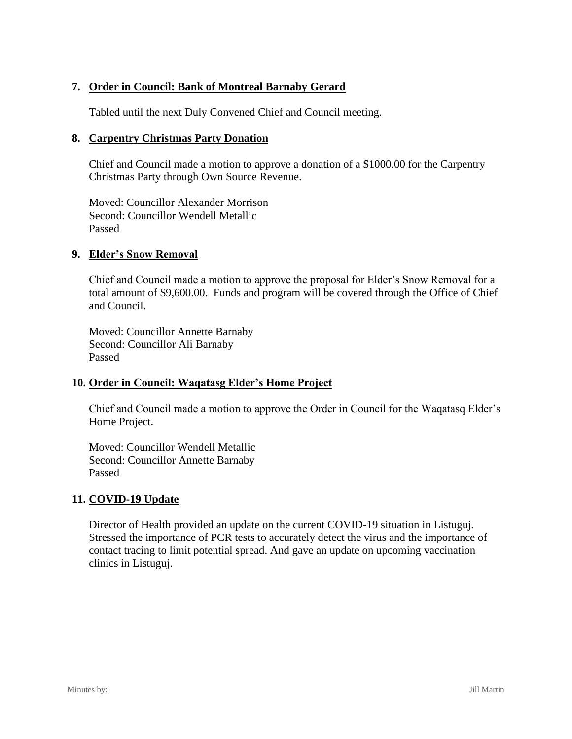# **7. Order in Council: Bank of Montreal Barnaby Gerard**

Tabled until the next Duly Convened Chief and Council meeting.

### **8. Carpentry Christmas Party Donation**

Chief and Council made a motion to approve a donation of a \$1000.00 for the Carpentry Christmas Party through Own Source Revenue.

Moved: Councillor Alexander Morrison Second: Councillor Wendell Metallic Passed

### **9. Elder's Snow Removal**

Chief and Council made a motion to approve the proposal for Elder's Snow Removal for a total amount of \$9,600.00. Funds and program will be covered through the Office of Chief and Council.

Moved: Councillor Annette Barnaby Second: Councillor Ali Barnaby Passed

## **10. Order in Council: Waqatasg Elder's Home Project**

Chief and Council made a motion to approve the Order in Council for the Waqatasq Elder's Home Project.

Moved: Councillor Wendell Metallic Second: Councillor Annette Barnaby Passed

## **11. COVID-19 Update**

Director of Health provided an update on the current COVID-19 situation in Listuguj. Stressed the importance of PCR tests to accurately detect the virus and the importance of contact tracing to limit potential spread. And gave an update on upcoming vaccination clinics in Listuguj.